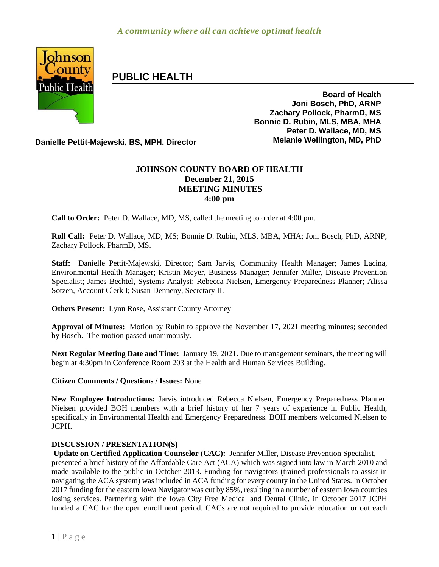

# **PUBLIC HEALTH**

**Board of Health Joni Bosch, PhD, ARNP Zachary Pollock, PharmD, MS Bonnie D. Rubin, MLS, MBA, MHA Peter D. Wallace, MD, MS**

**Danielle Pettit-Majewski, BS, MPH, Director Melanie Wellington, MD, PhD**

## **JOHNSON COUNTY BOARD OF HEALTH December 21, 2015 MEETING MINUTES 4:00 pm**

**Call to Order:** Peter D. Wallace, MD, MS, called the meeting to order at 4:00 pm.

**Roll Call:** Peter D. Wallace, MD, MS; Bonnie D. Rubin, MLS, MBA, MHA; Joni Bosch, PhD, ARNP; Zachary Pollock, PharmD, MS.

**Staff:** Danielle Pettit-Majewski, Director; Sam Jarvis, Community Health Manager; James Lacina, Environmental Health Manager; Kristin Meyer, Business Manager; Jennifer Miller, Disease Prevention Specialist; James Bechtel, Systems Analyst; Rebecca Nielsen, Emergency Preparedness Planner; Alissa Sotzen, Account Clerk I; Susan Denneny, Secretary II.

**Others Present:** Lynn Rose, Assistant County Attorney

**Approval of Minutes:** Motion by Rubin to approve the November 17, 2021 meeting minutes; seconded by Bosch. The motion passed unanimously.

**Next Regular Meeting Date and Time:** January 19, 2021. Due to management seminars, the meeting will begin at 4:30pm in Conference Room 203 at the Health and Human Services Building.

### **Citizen Comments / Questions / Issues:** None

**New Employee Introductions:** Jarvis introduced Rebecca Nielsen, Emergency Preparedness Planner. Nielsen provided BOH members with a brief history of her 7 years of experience in Public Health, specifically in Environmental Health and Emergency Preparedness. BOH members welcomed Nielsen to JCPH.

### **DISCUSSION / PRESENTATION(S)**

**Update on Certified Application Counselor (CAC):** Jennifer Miller, Disease Prevention Specialist, presented a brief history of the Affordable Care Act (ACA) which was signed into law in March 2010 and made available to the public in October 2013. Funding for navigators (trained professionals to assist in navigating the ACA system) was included in ACA funding for every county in the United States. In October 2017 funding for the eastern Iowa Navigator was cut by 85%, resulting in a number of eastern Iowa counties losing services. Partnering with the Iowa City Free Medical and Dental Clinic, in October 2017 JCPH funded a CAC for the open enrollment period. CACs are not required to provide education or outreach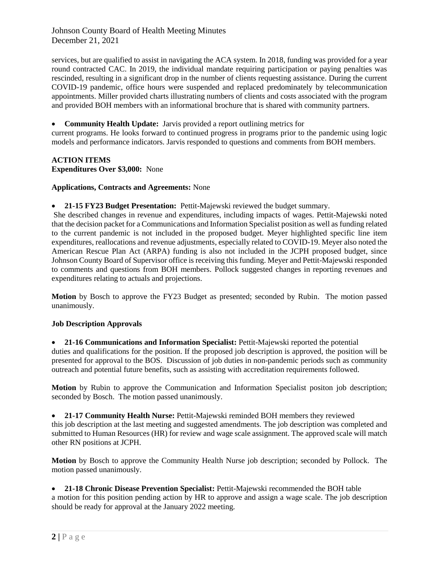Johnson County Board of Health Meeting Minutes December 21, 2021

services, but are qualified to assist in navigating the ACA system. In 2018, funding was provided for a year round contracted CAC. In 2019, the individual mandate requiring participation or paying penalties was rescinded, resulting in a significant drop in the number of clients requesting assistance. During the current COVID-19 pandemic, office hours were suspended and replaced predominately by telecommunication appointments. Miller provided charts illustrating numbers of clients and costs associated with the program and provided BOH members with an informational brochure that is shared with community partners.

**Community Health Update:** Jarvis provided a report outlining metrics for

current programs. He looks forward to continued progress in programs prior to the pandemic using logic models and performance indicators. Jarvis responded to questions and comments from BOH members.

**ACTION ITEMS Expenditures Over \$3,000:** None

**Applications, Contracts and Agreements:** None

**21-15 FY23 Budget Presentation:** Pettit-Majewski reviewed the budget summary.

She described changes in revenue and expenditures, including impacts of wages. Pettit-Majewski noted that the decision packet for a Communications and Information Specialist position as well as funding related to the current pandemic is not included in the proposed budget. Meyer highlighted specific line item expenditures, reallocations and revenue adjustments, especially related to COVID-19. Meyer also noted the American Rescue Plan Act (ARPA) funding is also not included in the JCPH proposed budget, since Johnson County Board of Supervisor office is receiving this funding. Meyer and Pettit-Majewski responded to comments and questions from BOH members. Pollock suggested changes in reporting revenues and expenditures relating to actuals and projections.

**Motion** by Bosch to approve the FY23 Budget as presented; seconded by Rubin. The motion passed unanimously.

### **Job Description Approvals**

 **21-16 Communications and Information Specialist:** Pettit-Majewski reported the potential duties and qualifications for the position. If the proposed job description is approved, the position will be presented for approval to the BOS. Discussion of job duties in non-pandemic periods such as community outreach and potential future benefits, such as assisting with accreditation requirements followed.

**Motion** by Rubin to approve the Communication and Information Specialist positon job description; seconded by Bosch. The motion passed unanimously.

 **21-17 Community Health Nurse:** Pettit-Majewski reminded BOH members they reviewed this job description at the last meeting and suggested amendments. The job description was completed and submitted to Human Resources (HR) for review and wage scale assignment. The approved scale will match other RN positions at JCPH.

**Motion** by Bosch to approve the Community Health Nurse job description; seconded by Pollock. The motion passed unanimously.

 **21-18 Chronic Disease Prevention Specialist:** Pettit-Majewski recommended the BOH table a motion for this position pending action by HR to approve and assign a wage scale. The job description should be ready for approval at the January 2022 meeting.